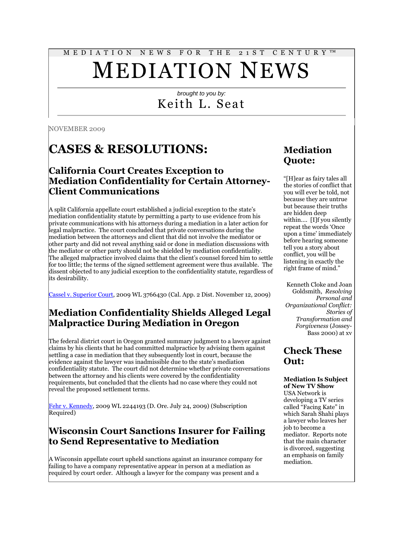#### M E D I A T I O N N E W S F O R T H E 2 1 S T C E N T U R Y ™

# MEDIATION NEWS

#### *brought to you by:* Keith L. Seat

NOVEMBER 2009

## **CASES & RESOLUTIONS:**

#### **California Court Creates Exception to Mediation Confidentiality for Certain Attorney-Client Communications**

A split California appellate court established a judicial exception to the state"s mediation confidentiality statute by permitting a party to use evidence from his private communications with his attorneys during a mediation in a later action for legal malpractice. The court concluded that private conversations during the mediation between the attorneys and client that did not involve the mediator or other party and did not reveal anything said or done in mediation discussions with the mediator or other party should not be shielded by mediation confidentiality. The alleged malpractice involved claims that the client"s counsel forced him to settle for too little; the terms of the signed settlement agreement were thus available. The dissent objected to any judicial exception to the confidentiality statute, regardless of its desirability.

[Cassel v. Superior Court,](http://tinyurl.com/ybd6jpy) 2009 WL 3766430 (Cal. App. 2 Dist. November 12, 2009)

#### **Mediation Confidentiality Shields Alleged Legal Malpractice During Mediation in Oregon**

The federal district court in Oregon granted summary judgment to a lawyer against claims by his clients that he had committed malpractice by advising them against settling a case in mediation that they subsequently lost in court, because the evidence against the lawyer was inadmissible due to the state's mediation confidentiality statute. The court did not determine whether private conversations between the attorney and his clients were covered by the confidentiality requirements, but concluded that the clients had no case where they could not reveal the proposed settlement terms.

[Fehr v. Kennedy,](http://tinyurl.com/ydnrb27) 2009 WL 2244193 (D. Ore. July 24, 2009) (Subscription Required)

#### **Wisconsin Court Sanctions Insurer for Failing to Send Representative to Mediation**

A Wisconsin appellate court upheld sanctions against an insurance company for failing to have a company representative appear in person at a mediation as required by court order. Although a lawyer for the company was present and a

## **Mediation Quote:**

"[H]ear as fairy tales all the stories of conflict that you will ever be told, not because they are untrue but because their truths are hidden deep within…. [I]f you silently repeat the words "Once upon a time" immediately before hearing someone tell you a story about conflict, you will be listening in exactly the right frame of mind."

Kenneth Cloke and Joan Goldsmith, *Resolving Personal and Organizational Conflict: Stories of Transformation and Forgiveness* (Jossey-Bass 2000) at xv

**Check These Out:**

#### **Mediation Is Subject of New TV Show**

USA Network is developing a TV series called "Facing Kate" in which Sarah Shahi plays a lawyer who leaves her job to become a mediator. Reports note that the main character is divorced, suggesting an emphasis on family mediation.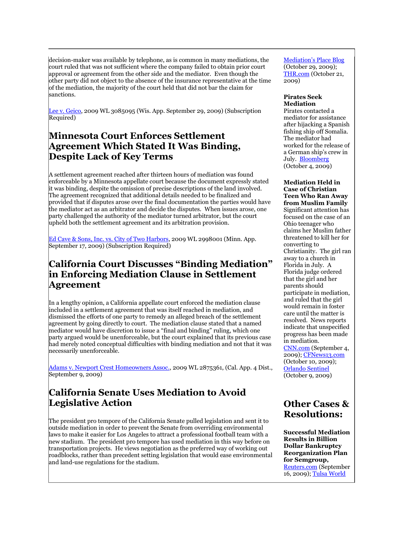decision-maker was available by telephone, as is common in many mediations, the court ruled that was not sufficient where the company failed to obtain prior court approval or agreement from the other side and the mediator. Even though the other party did not object to the absence of the insurance representative at the time of the mediation, the majority of the court held that did not bar the claim for sanctions.

[Lee v. Geico,](http://tinyurl.com/yb3toc4) 2009 WL 3085095 (Wis. App. September 29, 2009) (Subscription Required)

#### **Minnesota Court Enforces Settlement Agreement Which Stated It Was Binding, Despite Lack of Key Terms**

A settlement agreement reached after thirteen hours of mediation was found enforceable by a Minnesota appellate court because the document expressly stated it was binding, despite the omission of precise descriptions of the land involved. The agreement recognized that additional details needed to be finalized and provided that if disputes arose over the final documentation the parties would have the mediator act as an arbitrator and decide the disputes. When issues arose, one party challenged the authority of the mediator turned arbitrator, but the court upheld both the settlement agreement and its arbitration provision.

[Ed Cave & Sons, Inc. vs. City of Two Harbors,](http://tinyurl.com/yaby3xq) 2009 WL 2998001 (Minn. App. September 17, 2009) (Subscription Required)

#### **California Court Discusses "Binding Mediation" in Enforcing Mediation Clause in Settlement Agreement**

In a lengthy opinion, a California appellate court enforced the mediation clause included in a settlement agreement that was itself reached in mediation, and dismissed the efforts of one party to remedy an alleged breach of the settlement agreement by going directly to court. The mediation clause stated that a named mediator would have discretion to issue a "final and binding" ruling, which one party argued would be unenforceable, but the court explained that its previous case had merely noted conceptual difficulties with binding mediation and not that it was necessarily unenforceable.

Adams v. Newport [Crest Homeowners Assoc.,](http://www.courtinfo.ca.gov/opinions/nonpub/G039956.PDF) 2009 WL 2875361, (Cal. App. 4 Dist., September 9, 2009)

#### **California Senate Uses Mediation to Avoid Legislative Action**

The president pro tempore of the California Senate pulled legislation and sent it to outside mediation in order to prevent the Senate from overriding environmental laws to make it easier for Los Angeles to attract a professional football team with a new stadium. The president pro tempore has used mediation in this way before on transportation projects. He views negotiation as the preferred way of working out roadblocks, rather than precedent setting legislation that would ease environmental and land-use regulations for the stadium.

[Mediation"s Place Blog](http://www.mediate-la.com/2009/10/new-face-of-mediation.html) (October 29, 2009); [THR.com](http://www.hollywoodreporter.com/hr/content_display/television/news/e3ib38cebd2d45985dd1f84f824bf8c2533) (October 21, 2009)

#### **Pirates Seek Mediation**

Pirates contacted a mediator for assistance after hijacking a Spanish fishing ship off Somalia. The mediator had worked for the release of a German ship"s crew in July. [Bloomberg](http://www.bloomberg.com/apps/news?pid=20601116&sid=a4uJA.hI5bOI) (October 4, 2009)

**Mediation Held in Case of Christian Teen Who Ran Away from Muslim Family**  Significant attention has focused on the case of an Ohio teenager who claims her Muslim father threatened to kill her for converting to Christianity. The girl ran away to a church in Florida in July. A Florida judge ordered that the girl and her parents should participate in mediation, and ruled that the girl would remain in foster care until the matter is resolved. News reports indicate that unspecified progress has been made in mediation. [CNN.com](http://www.cnn.com/2009/CRIME/09/04/florida.muslim.convert/index.html) (September 4,

2009); [CFNews13.com](http://www.cfnews13.com/News/Local/2009/10/10/religious_runaway_faces_family_in_mediation.html) (October 10, 2009); [Orlando Sentinel](http://tinyurl.com/yfgs56h) (October 9, 2009)

#### **Other Cases & Resolutions:**

**Successful Mediation Results in Billion Dollar Bankruptcy Reorganization Plan for Semgroup,**  [Reuters.com](http://www.reuters.com/article/innovationNews/idUSTRE58F0LZ20090916) (September 16, 2009)[; Tulsa World](http://tinyurl.com/ykhu7tg)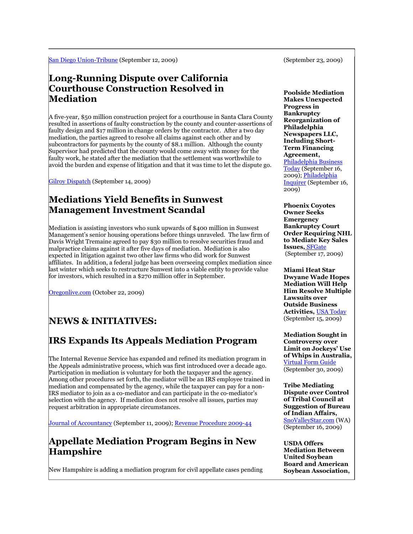[San Diego Union-Tribune](http://www3.signonsandiego.com/stories/2009/sep/12/1n12stadium002235-stadium-legislation-gets-shelved/?metro&zIndex=164625) (September 12, 2009)

#### **Long-Running Dispute over California Courthouse Construction Resolved in Mediation**

A five-year, \$50 million construction project for a courthouse in Santa Clara County resulted in assertions of faulty construction by the county and counter-assertions of faulty design and \$17 million in change orders by the contractor. After a two day mediation, the parties agreed to resolve all claims against each other and by subcontractors for payments by the county of \$8.1 million. Although the county Supervisor had predicted that the county would come away with money for the faulty work, he stated after the mediation that the settlement was worthwhile to avoid the burden and expense of litigation and that it was time to let the dispute go.

[Gilroy Dispatch](http://www.gilroydispatch.com/printer/article.asp?c=259284) (September 14, 2009)

#### **Mediations Yield Benefits in Sunwest Management Investment Scandal**

Mediation is assisting investors who sunk upwards of \$400 million in Sunwest Management"s senior housing operations before things unraveled. The law firm of Davis Wright Tremaine agreed to pay \$30 million to resolve securities fraud and malpractice claims against it after five days of mediation. Mediation is also expected in litigation against two other law firms who did work for Sunwest affiliates. In addition, a federal judge has been overseeing complex mediation since last winter which seeks to restructure Sunwest into a viable entity to provide value for investors, which resulted in a \$270 million offer in September.

[Oregonlive.com](http://www.oregonlive.com/business/index.ssf/2009/10/portland_law_firm_agrees_to_30.html) (October 22, 2009)

## **NEWS & INITIATIVES:**

## **IRS Expands Its Appeals Mediation Program**

The Internal Revenue Service has expanded and refined its mediation program in the Appeals administrative process, which was first introduced over a decade ago. Participation in mediation is voluntary for both the taxpayer and the agency. Among other procedures set forth, the mediator will be an IRS employee trained in mediation and compensated by the agency, while the taxpayer can pay for a non-IRS mediator to join as a co-mediator and can participate in the co-mediator"s selection with the agency. If mediation does not resolve all issues, parties may request arbitration in appropriate circumstances.

[Journal of Accountancy](http://www.journalofaccountancy.com/Web/20092138.htm) (September 11, 2009); [Revenue Procedure 2009-44](http://twurl.nl/dusfxu)

#### **Appellate Mediation Program Begins in New Hampshire**

New Hampshire is adding a mediation program for civil appellate cases pending

(September 23, 2009)

**Poolside Mediation Makes Unexpected Progress in Bankruptcy Reorganization of Philadelphia Newspapers LLC, Including Short-Term Financing Agreement,**  [Philadelphia Business](http://tinyurl.com/yfujghm)  [Today](http://tinyurl.com/yfujghm) (September 16, 2009); [Philadelphia](http://tinyurl.com/yghvgsb)  [Inquirer](http://tinyurl.com/yghvgsb) (September 16, 2009)

**Phoenix Coyotes Owner Seeks Emergency Bankruptcy Court Order Requiring NHL to Mediate Key Sales Issues,** [SFGate](http://www.google.com/hostednews/ap/article/ALeqM5g4wOZpbbkMgtgb4XZWf_LigEiqMgD9APFH4O6)  (September 17, 2009)

**Miami Heat Star Dwyane Wade Hopes Mediation Will Help Him Resolve Multiple Lawsuits over Outside Business Activities,** [USA Today](http://tinyurl.com/yjjpo7p) (September 15, 2009)

**Mediation Sought in Controversy over Limit on Jockeys' Use of Whips in Australia,**  [Virtual Form Guide](http://tinyurl.com/ybwq94t) (September 30, 2009)

**Tribe Mediating Dispute over Control of Tribal Council at Suggestion of Bureau of Indian Affairs,**  [SnoValleyStar.com](http://tinyurl.com/pah6rq) (WA) (September 16, 2009)

**USDA Offers Mediation Between United Soybean Board and American Soybean Association,**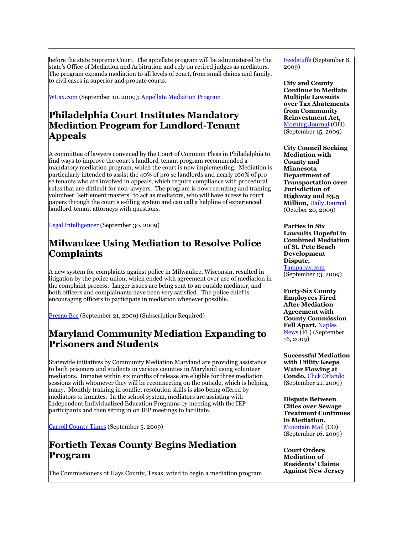before the state Supreme Court. The appellate program will be administered by the state"s Office of Mediation and Arbitration and rely on retired judges as mediators. The program expands mediation to all levels of court, from small claims and family, to civil cases in superior and probate courts.

[WCax.com](http://www.wcax.com/Global/story.asp?S=11104640) (September 10, 2009)[; Appellate Mediation Program](http://www.courts.state.nh.us/adrp/appellate/index.htm)

#### **Philadelphia Court Institutes Mandatory Mediation Program for Landlord-Tenant Appeals**

A committee of lawyers convened by the Court of Common Pleas in Philadelphia to find ways to improve the court's landlord-tenant program recommended a mandatory mediation program, which the court is now implementing. Mediation is particularly intended to assist the 40% of pro se landlords and nearly 100% of pro se tenants who are involved in appeals, which require compliance with procedural rules that are difficult for non-lawyers. The program is now recruiting and training volunteer "settlement masters" to act as mediators, who will have access to court papers through the court"s e-filing system and can call a helpline of experienced landlord-tenant attorneys with questions.

[Legal Intelligencer](http://tinyurl.com/yerugxs) (September 30, 2009)

#### **Milwaukee Using Mediation to Resolve Police Complaints**

A new system for complaints against police in Milwaukee, Wisconsin, resulted in litigation by the police union, which ended with agreement over use of mediation in the complaint process. Larger issues are being sent to an outside mediator, and both officers and complainants have been very satisfied. The police chief is encouraging officers to participate in mediation whenever possible.

[Fresno Bee](http://tinyurl.com/yex5wko) (September 21, 2009) (Subscription Required)

#### **Maryland Community Mediation Expanding to Prisoners and Students**

Statewide initiatives by Community Mediation Maryland are providing assistance to both prisoners and students in various counties in Maryland using volunteer mediators. Inmates within six months of release are eligible for three mediation sessions with whomever they will be reconnecting on the outside, which is helping many. Monthly training in conflict resolution skills is also being offered by mediators to inmates. In the school system, mediators are assisting with Independent Individualized Education Programs by meeting with the IEP participants and then sitting in on IEP meetings to facilitate.

[Carroll County Times](http://tinyurl.com/ydtwceb) (September 5, 2009)

#### **Fortieth Texas County Begins Mediation Program**

The Commissioners of Hays County, Texas, voted to begin a mediation program

[Feedstuffs](http://tinyurl.com/ybxwcqe) (September 8, 2009)

**City and County Continue to Mediate Multiple Lawsuits over Tax Abatements from Community Reinvestment Act,**  [Morning Journal](http://www.morningjournal.com/articles/2009/09/15/news/mj1612438.txt) (OH) (September 15, 2009)

**City Council Seeking Mediation with County and Minnesota Department of Transportation over Jurisdiction of Highway and \$3.5 Million,** [Daily Journal](http://tinyurl.com/yzjzmt9) (October 20, 2009)

**Parties in Six Lawsuits Hopeful in Combined Mediation of St. Pete Beach Development Dispute,**  [Tampabay.com](http://tinyurl.com/yhre6nx) (September 13, 2009)

**Forty-Six County Employees Fired After Mediation Agreement with County Commission Fell Apart,** [Naples](http://tinyurl.com/yjqpex3)  [News](http://tinyurl.com/yjqpex3) (FL) (September 16, 2009)

**Successful Mediation with Utility Keeps Water Flowing at Condo,** [Click Orlando](http://tinyurl.com/ygskbrh) (September 21, 2009)

**Dispute Between Cities over Sewage Treatment Continues in Mediation,**  [Mountain Mail](http://tinyurl.com/yl4lctw) (CO) (September 16, 2009)

**Court Orders Mediation of Residents' Claims Against New Jersey**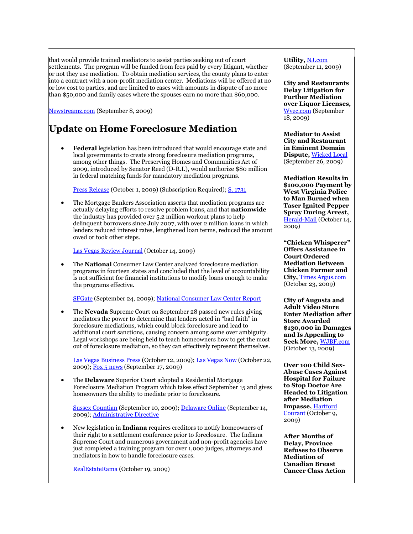that would provide trained mediators to assist parties seeking out of court settlements. The program will be funded from fees paid by every litigant, whether or not they use mediation. To obtain mediation services, the county plans to enter into a contract with a non-profit mediation center. Mediations will be offered at no or low cost to parties, and are limited to cases with amounts in dispute of no more than \$50,000 and family cases where the spouses earn no more than \$60,000.

[Newstreamz.com](http://tinyurl.com/yey76x3) (September 8, 2009)

## **Update on Home Foreclosure Mediation**

 **Federal** legislation has been introduced that would encourage state and local governments to create strong foreclosure mediation programs, among other things. The Preserving Homes and Communities Act of 2009, introduced by Senator Reed (D-R.I.), would authorize \$80 million in federal matching funds for mandatory mediation programs.

[Press Release](http://reed.senate.gov/newsroom/details.cfm?id=318453) (October 1, 2009) (Subscription Required); [S. 1731](http://thomas.loc.gov/cgi-bin/query/z?c111:s1731:)

 The Mortgage Bankers Association asserts that mediation programs are actually delaying efforts to resolve problem loans, and that **nationwide** the industry has provided over 5.2 million workout plans to help delinquent borrowers since July 2007, with over 2 million loans in which lenders reduced interest rates, lengthened loan terms, reduced the amount owed or took other steps.

[Las Vegas Review Journal](http://www.lvrj.com/business/mediation-plan-blamed-for-delays-64197732.html) (October 14, 2009)

 The **National** Consumer Law Center analyzed foreclosure mediation programs in fourteen states and concluded that the level of accountability is not sufficient for financial institutions to modify loans enough to make the programs effective.

[SFGate](http://www.sfgate.com/cgi-bin/article.cgi?f=/c/a/2009/09/23/BU3119RNII.DTL) (September 24, 2009)[; National Consumer Law Center Report](http://www.consumerlaw.org/issues/foreclosure_mediation/content/ReportS-Sept09.pdf)

 The **Nevada** Supreme Court on September 28 passed new rules giving mediators the power to determine that lenders acted in "bad faith" in foreclosure mediations, which could block foreclosure and lead to additional court sanctions, causing concern among some over ambiguity. Legal workshops are being held to teach homeowners how to get the most out of foreclosure mediation, so they can effectively represent themselves.

[Las Vegas Business Press](http://www.lvbusinesspress.com/articles/2009/10/14/news/iq_31664781.txt) (October 12, 2009); [Las Vegas Now](http://www.lasvegasnow.com/Global/story.asp?S=11369026) (October 22, 2009); [Fox 5 news](http://www.fox5vegas.com/news/20978491/detail.html) (September 17, 2009)

 The **Delaware** Superior Court adopted a Residential Mortgage Foreclosure Mediation Program which takes effect September 15 and gives homeowners the ability to mediate prior to foreclosure.

[Sussex Countian](http://tinyurl.com/yaxaq6b) (September 10, 2009)[; Delaware Online](http://www.delawareonline.com/article/20090914/OPINION11/909140302) (September 14, 2009); [Administrative Directive](http://courts.delaware.gov/Courts/Superior%20Court/pdf/?Administrative_Directive_2009-3.pdf)

 New legislation in **Indiana** requires creditors to notify homeowners of their right to a settlement conference prior to foreclosure. The Indiana Supreme Court and numerous government and non-profit agencies have just completed a training program for over 1,000 judges, attorneys and mediators in how to handle foreclosure cases.

[RealEstateRama](http://tinyurl.com/yewfpxt) (October 19, 2009)

**Utility,** [NJ.com](http://tinyurl.com/ykzd2nb) (September 11, 2009)

**City and Restaurants Delay Litigation for Further Mediation over Liquor Licenses,**  [Wvec.com](http://tinyurl.com/yl97orv) (September 18, 2009)

**Mediator to Assist City and Restaurant in Eminent Domain Dispute,** [Wicked Local](http://tinyurl.com/yfm4r9a) (September 26, 2009)

**Mediation Results in \$100,000 Payment by West Virginia Police to Man Burned when Taser Ignited Pepper Spray During Arrest,**  [Herald-Mail](http://tinyurl.com/ydfw7qm) (October 14, 2009)

**"Chicken Whisperer" Offers Assistance in Court Ordered Mediation Between Chicken Farmer and City,** [Times Argus.com](http://www.timesargus.com/article/20091023/NEWS02/910230354/1003/NEWS02) (October 23, 2009)

**City of Augusta and Adult Video Store Enter Mediation after Store Awarded \$130,000 in Damages and Is Appealing to Seek More,** [WJBF.com](http://tinyurl.com/yz7n27q) (October 13, 2009)

**Over 100 Child Sex-Abuse Cases Against Hospital for Failure to Stop Doctor Are Headed to Litigation after Mediation Impasse,** [Hartford](http://www.strattonfaxon.com/news/2009-news/efforttosettle-reardon100909.htm)  [Courant](http://www.strattonfaxon.com/news/2009-news/efforttosettle-reardon100909.htm) (October 9, 2009)

**After Months of Delay, Province Refuses to Observe Mediation of Canadian Breast Cancer Class Action**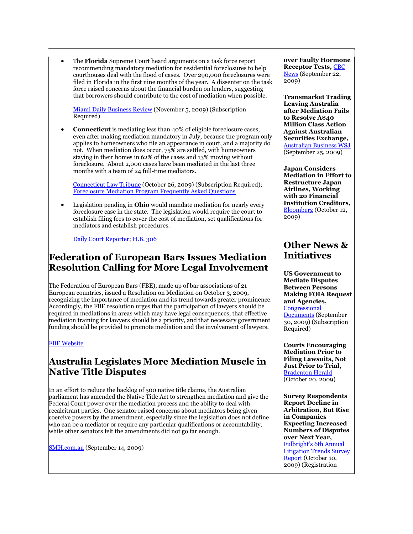The **Florida** Supreme Court heard arguments on a task force report recommending mandatory mediation for residential foreclosures to help courthouses deal with the flood of cases. Over 290,000 foreclosures were filed in Florida in the first nine months of the year. A dissenter on the task force raised concerns about the financial burden on lenders, suggesting that borrowers should contribute to the cost of mediation when possible.

[Miami Daily Business Review](http://tinyurl.com/ygqnvd6) (November 5, 2009) (Subscription Required)

 **Connecticut** is mediating less than 40% of eligible foreclosure cases, even after making mediation mandatory in July, because the program only applies to homeowners who file an appearance in court, and a majority do not. When mediation does occur, 75% are settled, with homeowners staying in their homes in 62% of the cases and 13% moving without foreclosure. About 2,000 cases have been mediated in the last three months with a team of 24 full-time mediators.

[Connecticut Law Tribune](http://tinyurl.com/y8vr764) (October 26, 2009) (Subscription Required); [Foreclosure Mediation Program Frequently Asked Questions](http://www.jud.ct.gov/foreclosure/attorney_qs.htm#3)

 Legislation pending in **Ohio** would mandate mediation for nearly every foreclosure case in the state. The legislation would require the court to establish filing fees to cover the cost of mediation, set qualifications for mediators and establish procedures.

[Daily Court Reporter;](http://www.dailycourt.com/articles.php/5365/) [H.B. 306](http://www.realestatedefaultgroup.com/uploads/Client%20Advisory-%20LRR%20FC%20Mediation%20in%20OH-%20Attachment.pdf)

#### **Federation of European Bars Issues Mediation Resolution Calling for More Legal Involvement**

The Federation of European Bars (FBE), made up of bar associations of 21 European countries, issued a Resolution on Mediation on October 3, 2009, recognizing the importance of mediation and its trend towards greater prominence. Accordingly, the FBE resolution urges that the participation of lawyers should be required in mediations in areas which may have legal consequences, that effective mediation training for lawyers should be a priority, and that necessary government funding should be provided to promote mediation and the involvement of lawyers.

#### [FBE Website](http://www.fbe.org/en/resolution/resolution-on-mediation-valencia-3-art570.html?lang=en)

#### **Australia Legislates More Mediation Muscle in Native Title Disputes**

In an effort to reduce the backlog of 500 native title claims, the Australian parliament has amended the Native Title Act to strengthen mediation and give the Federal Court power over the mediation process and the ability to deal with recalcitrant parties. One senator raised concerns about mediators being given coercive powers by the amendment, especially since the legislation does not define who can be a mediator or require any particular qualifications or accountability, while other senators felt the amendments did not go far enough.

[SMH.com.au](http://tinyurl.com/ykevqxs) (September 14, 2009)

**over Faulty Hormone Receptor Tests,** [CBC](http://tinyurl.com/yzftbb3)  [News](http://tinyurl.com/yzftbb3) (September 22, 2009)

**Transmarket Trading Leaving Australia after Mediation Fails to Resolve A\$40 Million Class Action Against Australian Securities Exchange,**  [Australian Business WSJ](http://www.theaustralian.news.com.au/business/story/0,28124,26120544-36418,00.html) (September 25, 2009)

**Japan Considers Mediation in Effort to Restructure Japan Airlines, Working with 20 Financial Institution Creditors,**  [Bloomberg](http://www.bloomberg.com/apps/news?pid=20601101&sid=aVjbHN.3f4Rw) (October 12, 2009)

#### **Other News & Initiatives**

**US Government to Mediate Disputes Between Persons Making FOIA Request and Agencies,**  [Congressional](http://tinyurl.com/yd8dape)  [Documents](http://tinyurl.com/yd8dape) (September 30, 2009) (Subscription

Required) **Courts Encouraging** 

**Mediation Prior to Filing Lawsuits, Not Just Prior to Trial,**  [Bradenton Herald](http://www.bradenton.com/news/local/story/1789849.html) (October 20, 2009)

**Survey Respondents Report Decline in Arbitration, But Rise in Companies Expecting Increased Numbers of Disputes over Next Year,**  Fulbright"s [6th Annual](http://www.fulbright.com/images/publications/6thLitTrendsReport2009.pdf)  [Litigation Trends Survey](http://www.fulbright.com/images/publications/6thLitTrendsReport2009.pdf)  [Report](http://www.fulbright.com/images/publications/6thLitTrendsReport2009.pdf) (October 10, 2009) (Registration